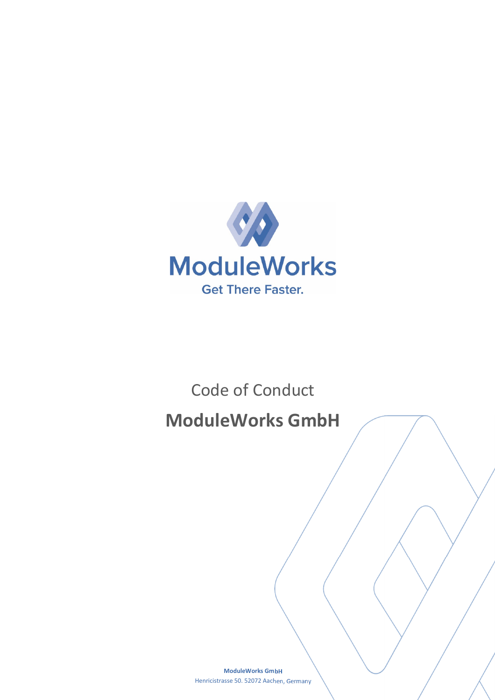

# Code of Conduct **ModuleWorks GmbH**

**ModuleWorks GmbH** Henricistrasse 50. 52072 Aachen, Germany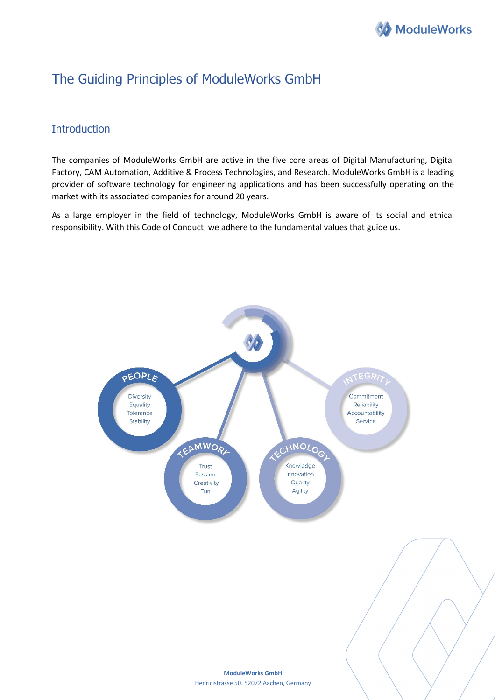

# The Guiding Principles of ModuleWorks GmbH

# **Introduction**

The companies of ModuleWorks GmbH are active in the five core areas of Digital Manufacturing, Digital Factory, CAM Automation, Additive & Process Technologies, and Research. ModuleWorks GmbH is a leading provider of software technology for engineering applications and has been successfully operating on the market with its associated companies for around 20 years.

As a large employer in the field of technology, ModuleWorks GmbH is aware of its social and ethical responsibility. With this Code of Conduct, we adhere to the fundamental values that guide us.

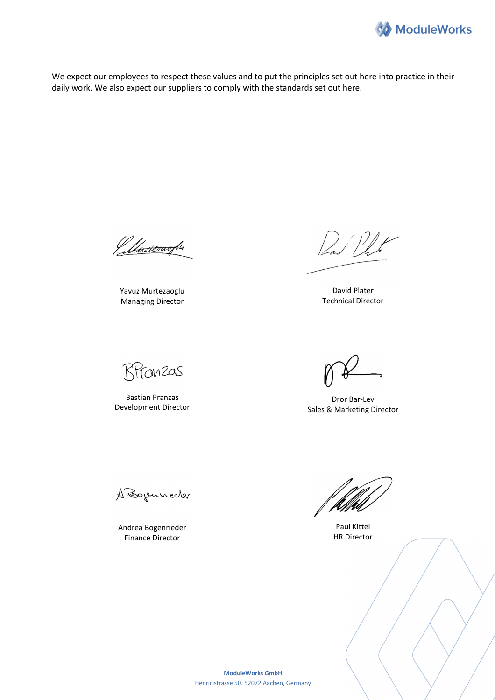

We expect our employees to respect these values and to put the principles set out here into practice in their daily work. We also expect our suppliers to comply with the standards set out here.

Pullenteraoghs

Yavuz Murtezaoglu Managing Director

Dan Phit

David Plater Technical Director

RPranzas

Bastian Pranzas Development Director

Dror Bar-Lev Sales & Marketing Director

A. Bojenneder

Andrea Bogenrieder Finance Director

Paul Kittel HR Director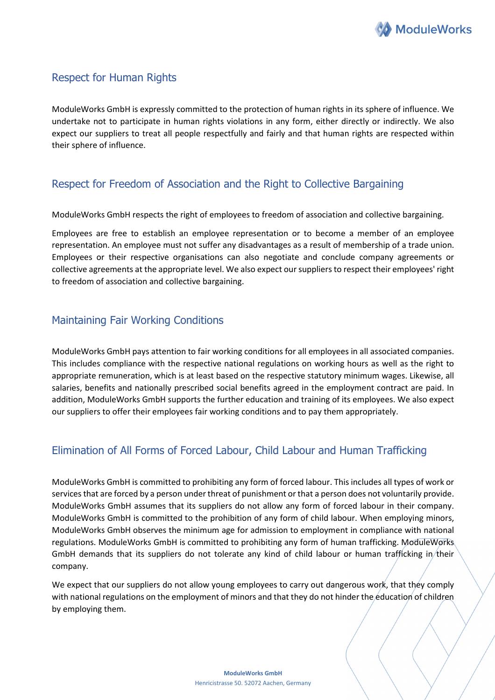

#### Respect for Human Rights

ModuleWorks GmbH is expressly committed to the protection of human rights in its sphere of influence. We undertake not to participate in human rights violations in any form, either directly or indirectly. We also expect our suppliers to treat all people respectfully and fairly and that human rights are respected within their sphere of influence.

#### Respect for Freedom of Association and the Right to Collective Bargaining

ModuleWorks GmbH respects the right of employees to freedom of association and collective bargaining.

Employees are free to establish an employee representation or to become a member of an employee representation. An employee must not suffer any disadvantages as a result of membership of a trade union. Employees or their respective organisations can also negotiate and conclude company agreements or collective agreements at the appropriate level. We also expect our suppliers to respect their employees' right to freedom of association and collective bargaining.

#### Maintaining Fair Working Conditions

ModuleWorks GmbH pays attention to fair working conditions for all employees in all associated companies. This includes compliance with the respective national regulations on working hours as well as the right to appropriate remuneration, which is at least based on the respective statutory minimum wages. Likewise, all salaries, benefits and nationally prescribed social benefits agreed in the employment contract are paid. In addition, ModuleWorks GmbH supports the further education and training of its employees. We also expect our suppliers to offer their employees fair working conditions and to pay them appropriately.

# Elimination of All Forms of Forced Labour, Child Labour and Human Trafficking

ModuleWorks GmbH is committed to prohibiting any form of forced labour. This includes all types of work or services that are forced by a person under threat of punishment or that a person does not voluntarily provide. ModuleWorks GmbH assumes that its suppliers do not allow any form of forced labour in their company. ModuleWorks GmbH is committed to the prohibition of any form of child labour. When employing minors, ModuleWorks GmbH observes the minimum age for admission to employment in compliance with national regulations. ModuleWorks GmbH is committed to prohibiting any form of human trafficking. ModuleWorks GmbH demands that its suppliers do not tolerate any kind of child labour or human trafficking in their company.

We expect that our suppliers do not allow young employees to carry out dangerous work, that they comply with national regulations on the employment of minors and that they do not hinder the education of children by employing them.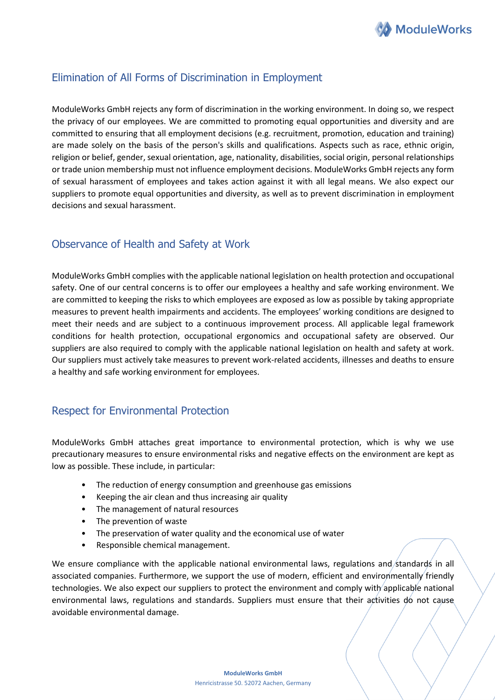

### Elimination of All Forms of Discrimination in Employment

ModuleWorks GmbH rejects any form of discrimination in the working environment. In doing so, we respect the privacy of our employees. We are committed to promoting equal opportunities and diversity and are committed to ensuring that all employment decisions (e.g. recruitment, promotion, education and training) are made solely on the basis of the person's skills and qualifications. Aspects such as race, ethnic origin, religion or belief, gender, sexual orientation, age, nationality, disabilities, social origin, personal relationships or trade union membership must not influence employment decisions. ModuleWorks GmbH rejects any form of sexual harassment of employees and takes action against it with all legal means. We also expect our suppliers to promote equal opportunities and diversity, as well as to prevent discrimination in employment decisions and sexual harassment.

### Observance of Health and Safety at Work

ModuleWorks GmbH complies with the applicable national legislation on health protection and occupational safety. One of our central concerns is to offer our employees a healthy and safe working environment. We are committed to keeping the risks to which employees are exposed as low as possible by taking appropriate measures to prevent health impairments and accidents. The employees' working conditions are designed to meet their needs and are subject to a continuous improvement process. All applicable legal framework conditions for health protection, occupational ergonomics and occupational safety are observed. Our suppliers are also required to comply with the applicable national legislation on health and safety at work. Our suppliers must actively take measures to prevent work-related accidents, illnesses and deaths to ensure a healthy and safe working environment for employees.

#### Respect for Environmental Protection

ModuleWorks GmbH attaches great importance to environmental protection, which is why we use precautionary measures to ensure environmental risks and negative effects on the environment are kept as low as possible. These include, in particular:

- The reduction of energy consumption and greenhouse gas emissions
- Keeping the air clean and thus increasing air quality
- The management of natural resources
- The prevention of waste
- The preservation of water quality and the economical use of water
- Responsible chemical management.

We ensure compliance with the applicable national environmental laws, regulations and/standards in all associated companies. Furthermore, we support the use of modern, efficient and environmentally friendly technologies. We also expect our suppliers to protect the environment and comply with applicable national environmental laws, regulations and standards. Suppliers must ensure that their activities do not cause avoidable environmental damage.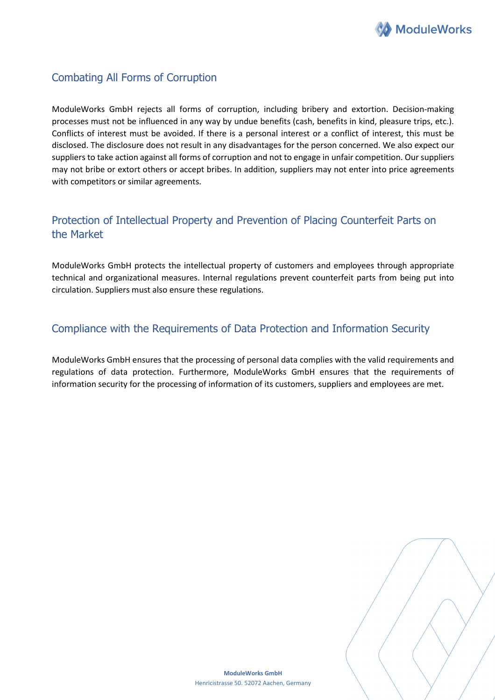

# Combating All Forms of Corruption

ModuleWorks GmbH rejects all forms of corruption, including bribery and extortion. Decision-making processes must not be influenced in any way by undue benefits (cash, benefits in kind, pleasure trips, etc.). Conflicts of interest must be avoided. If there is a personal interest or a conflict of interest, this must be disclosed. The disclosure does not result in any disadvantages for the person concerned. We also expect our suppliers to take action against all forms of corruption and not to engage in unfair competition. Our suppliers may not bribe or extort others or accept bribes. In addition, suppliers may not enter into price agreements with competitors or similar agreements.

# Protection of Intellectual Property and Prevention of Placing Counterfeit Parts on the Market

ModuleWorks GmbH protects the intellectual property of customers and employees through appropriate technical and organizational measures. Internal regulations prevent counterfeit parts from being put into circulation. Suppliers must also ensure these regulations.

### Compliance with the Requirements of Data Protection and Information Security

ModuleWorks GmbH ensures that the processing of personal data complies with the valid requirements and regulations of data protection. Furthermore, ModuleWorks GmbH ensures that the requirements of information security for the processing of information of its customers, suppliers and employees are met.